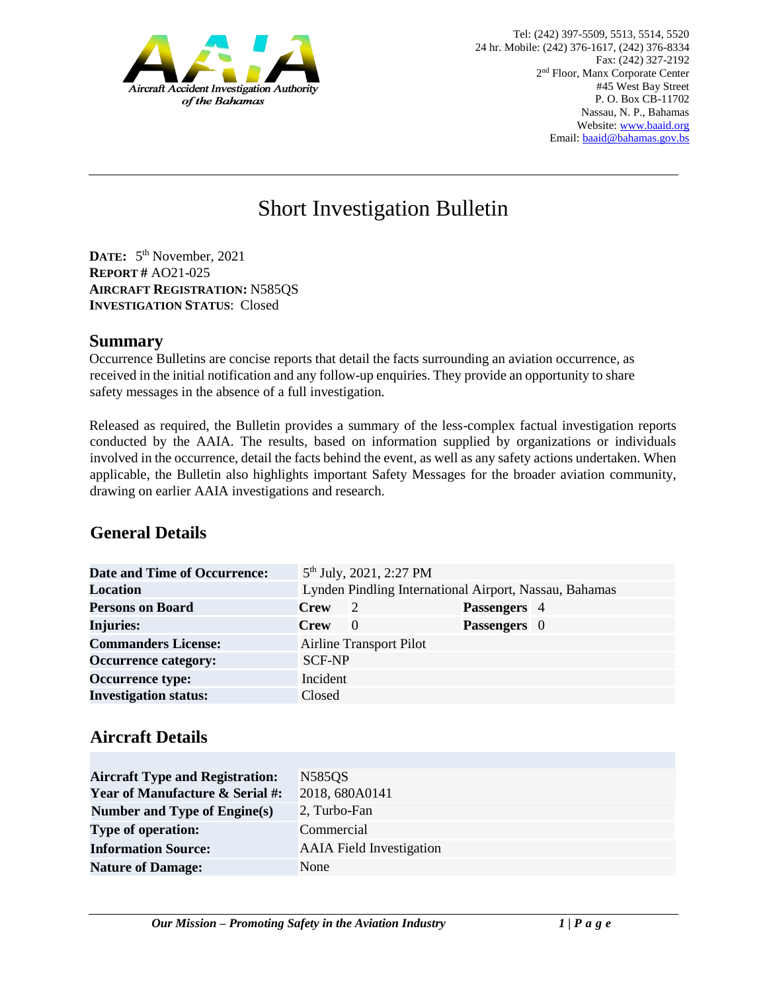

# Short Investigation Bulletin

**DATE:** 5 th November, 2021 **REPORT #** AO21-025 **AIRCRAFT REGISTRATION:** N585QS **INVESTIGATION STATUS**: Closed

#### **Summary**

Occurrence Bulletins are concise reports that detail the facts surrounding an aviation occurrence, as received in the initial notification and any follow-up enquiries. They provide an opportunity to share safety messages in the absence of a full investigation*.* 

Released as required, the Bulletin provides a summary of the less-complex factual investigation reports conducted by the AAIA. The results, based on information supplied by organizations or individuals involved in the occurrence, detail the facts behind the event, as well as any safety actions undertaken. When applicable, the Bulletin also highlights important Safety Messages for the broader aviation community, drawing on earlier AAIA investigations and research.

# **General Details**

| <b>Date and Time of Occurrence:</b> |                                                        | 5 <sup>th</sup> July, 2021, 2:27 PM |                     |  |
|-------------------------------------|--------------------------------------------------------|-------------------------------------|---------------------|--|
| <b>Location</b>                     | Lynden Pindling International Airport, Nassau, Bahamas |                                     |                     |  |
| <b>Persons on Board</b>             | <b>Crew</b>                                            | $\overline{2}$                      | Passengers 4        |  |
| <b>Injuries:</b>                    | <b>Crew</b>                                            | $\theta$                            | <b>Passengers</b> 0 |  |
| <b>Commanders License:</b>          |                                                        | <b>Airline Transport Pilot</b>      |                     |  |
| <b>Occurrence category:</b>         | <b>SCF-NP</b>                                          |                                     |                     |  |
| <b>Occurrence type:</b>             | Incident                                               |                                     |                     |  |
| <b>Investigation status:</b>        | Closed                                                 |                                     |                     |  |

### **Aircraft Details**

| <b>Aircraft Type and Registration:</b>     | N585QS                          |
|--------------------------------------------|---------------------------------|
| <b>Year of Manufacture &amp; Serial #:</b> | 2018, 680A0141                  |
| Number and Type of Engine(s)               | 2, Turbo-Fan                    |
| <b>Type of operation:</b>                  | Commercial                      |
| <b>Information Source:</b>                 | <b>AAIA</b> Field Investigation |
| <b>Nature of Damage:</b>                   | None                            |